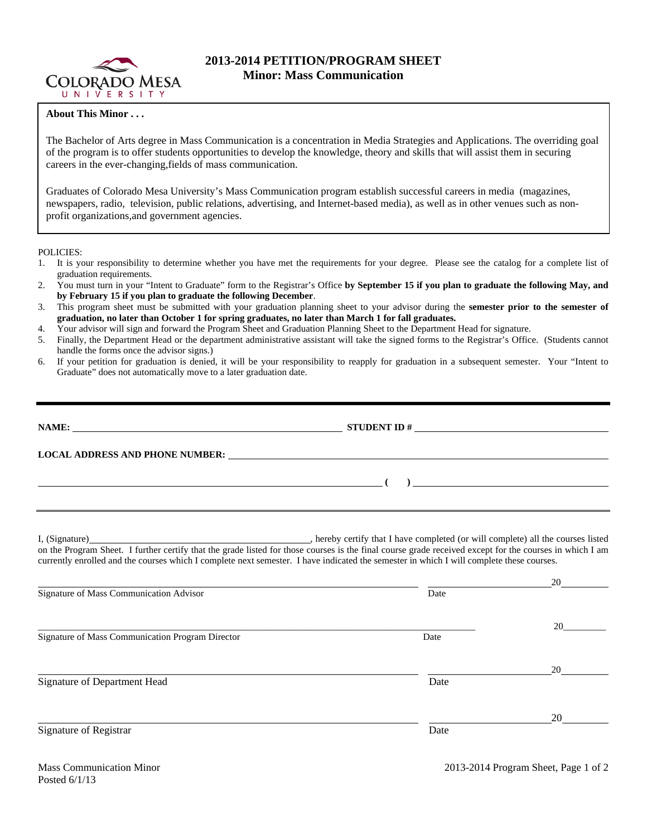

## **2013-2014 PETITION/PROGRAM SHEET Minor: Mass Communication**

## **About This Minor . . .**

The Bachelor of Arts degree in Mass Communication is a concentration in Media Strategies and Applications. The overriding goal of the program is to offer students opportunities to develop the knowledge, theory and skills that will assist them in securing careers in the ever-changing,fields of mass communication.

Graduates of Colorado Mesa University's Mass Communication program establish successful careers in media (magazines, newspapers, radio, television, public relations, advertising, and Internet-based media), as well as in other venues such as nonprofit organizations,and government agencies.

POLICIES:

- 1. It is your responsibility to determine whether you have met the requirements for your degree. Please see the catalog for a complete list of graduation requirements.
- 2. You must turn in your "Intent to Graduate" form to the Registrar's Office **by September 15 if you plan to graduate the following May, and by February 15 if you plan to graduate the following December**.
- 3. This program sheet must be submitted with your graduation planning sheet to your advisor during the **semester prior to the semester of graduation, no later than October 1 for spring graduates, no later than March 1 for fall graduates.**
- 4. Your advisor will sign and forward the Program Sheet and Graduation Planning Sheet to the Department Head for signature.
- 5. Finally, the Department Head or the department administrative assistant will take the signed forms to the Registrar's Office. (Students cannot handle the forms once the advisor signs.)
- 6. If your petition for graduation is denied, it will be your responsibility to reapply for graduation in a subsequent semester. Your "Intent to Graduate" does not automatically move to a later graduation date.

| NAME:                                        | STUDENT ID $\#$                                                                                                                                                                                                                                                                                     |
|----------------------------------------------|-----------------------------------------------------------------------------------------------------------------------------------------------------------------------------------------------------------------------------------------------------------------------------------------------------|
|                                              | LOCAL ADDRESS AND PHONE NUMBER: The contract of the contract of the contract of the contract of the contract of the contract of the contract of the contract of the contract of the contract of the contract of the contract o                                                                      |
|                                              | $\left(\begin{array}{c}1\end{array}\right)$                                                                                                                                                                                                                                                         |
|                                              | on the Program Sheet. I further certify that the grade listed for those courses is the final course grade received except for the courses in which I am<br>currently enrolled and the courses which I complete next semester. I have indicated the semester in which I will complete these courses. |
| $\alpha$ $\alpha$ $\alpha$ $\alpha$ $\alpha$ | $\mathbf{r}$ and $\mathbf{r}$ and $\mathbf{r}$ and $\mathbf{r}$                                                                                                                                                                                                                                     |

| Signature of Mass Communication Advisor          | Date |    |  |
|--------------------------------------------------|------|----|--|
| Signature of Mass Communication Program Director | Date | 20 |  |
| Signature of Department Head                     | Date | 20 |  |
| Signature of Registrar                           | Date | 20 |  |